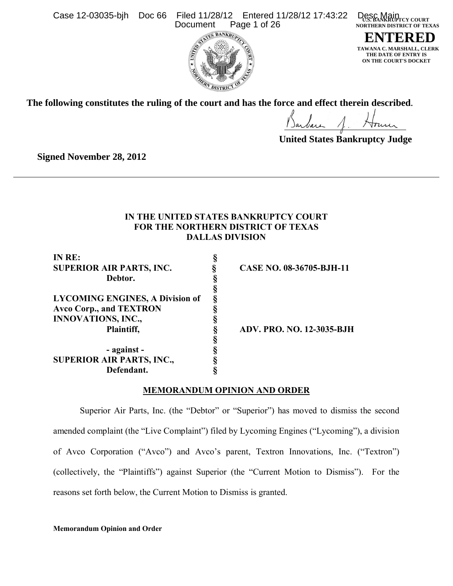



**U.S. BANKRUPTCY COURT NORTHERN DISTRICT OF TEXAS ENTERED**

**TAWANA C. MARSHALL, CLERK THE DATE OF ENTRY IS ON THE COURT'S DOCKET**

**The following constitutes the ruling of the court and has the force and effect therein described**.

**United States Bankruptcy Judge**

**Signed November 28, 2012**

# **IN THE UNITED STATES BANKRUPTCY COURT FOR THE NORTHERN DISTRICT OF TEXAS DALLAS DIVISION**

| IN RE:                                 |                                  |
|----------------------------------------|----------------------------------|
| <b>SUPERIOR AIR PARTS, INC.</b>        | CASE NO. 08-36705-BJH-11         |
| Debtor.                                |                                  |
|                                        |                                  |
| <b>LYCOMING ENGINES, A Division of</b> |                                  |
| <b>Avco Corp., and TEXTRON</b>         |                                  |
| <b>INNOVATIONS, INC.,</b>              |                                  |
| Plaintiff,                             | <b>ADV. PRO. NO. 12-3035-BJH</b> |
|                                        |                                  |
| - against -                            |                                  |
| <b>SUPERIOR AIR PARTS, INC.,</b>       |                                  |
| Defendant.                             |                                  |

# **MEMORANDUM OPINION AND ORDER**

Superior Air Parts, Inc. (the "Debtor" or "Superior") has moved to dismiss the second amended complaint (the "Live Complaint") filed by Lycoming Engines ("Lycoming"), a division of Avco Corporation ("Avco") and Avco's parent, Textron Innovations, Inc. ("Textron") (collectively, the "Plaintiffs") against Superior (the "Current Motion to Dismiss"). For the reasons set forth below, the Current Motion to Dismiss is granted.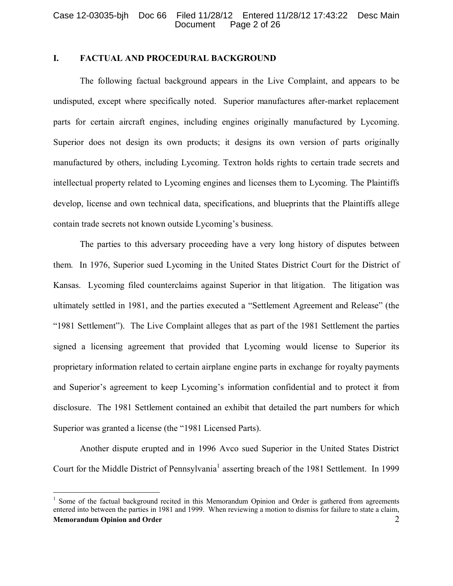# **I. FACTUAL AND PROCEDURAL BACKGROUND**

The following factual background appears in the Live Complaint, and appears to be undisputed, except where specifically noted. Superior manufactures after-market replacement parts for certain aircraft engines, including engines originally manufactured by Lycoming. Superior does not design its own products; it designs its own version of parts originally manufactured by others, including Lycoming. Textron holds rights to certain trade secrets and intellectual property related to Lycoming engines and licenses them to Lycoming. The Plaintiffs develop, license and own technical data, specifications, and blueprints that the Plaintiffs allege contain trade secrets not known outside Lycoming's business.

The parties to this adversary proceeding have a very long history of disputes between them. In 1976, Superior sued Lycoming in the United States District Court for the District of Kansas. Lycoming filed counterclaims against Superior in that litigation. The litigation was ultimately settled in 1981, and the parties executed a "Settlement Agreement and Release" (the "1981 Settlement"). The Live Complaint alleges that as part of the 1981 Settlement the parties signed a licensing agreement that provided that Lycoming would license to Superior its proprietary information related to certain airplane engine parts in exchange for royalty payments and Superior's agreement to keep Lycoming's information confidential and to protect it from disclosure. The 1981 Settlement contained an exhibit that detailed the part numbers for which Superior was granted a license (the "1981 Licensed Parts).

Another dispute erupted and in 1996 Avco sued Superior in the United States District Court for the Middle District of Pennsylvania<sup>[1](#page-1-0)</sup> asserting breach of the 1981 Settlement. In 1999

<span id="page-1-0"></span>**Memorandum Opinion and Order** 2 1 Some of the factual background recited in this Memorandum Opinion and Order is gathered from agreements entered into between the parties in 1981 and 1999. When reviewing a motion to dismiss for failure to state a claim,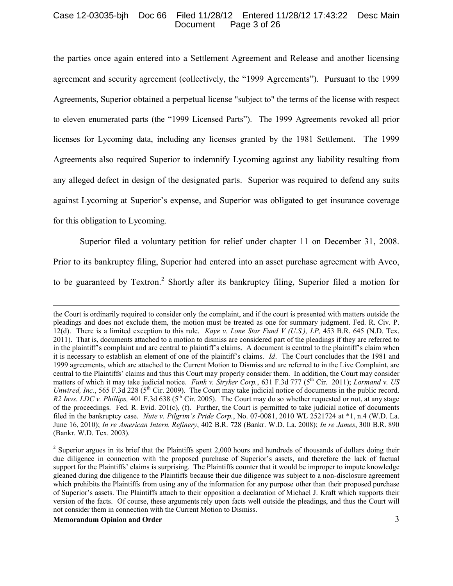### Case 12-03035-bjh Doc 66 Filed 11/28/12 Entered 11/28/12 17:43:22 Desc Main Page 3 of 26

the parties once again entered into a Settlement Agreement and Release and another licensing agreement and security agreement (collectively, the "1999 Agreements"). Pursuant to the 1999 Agreements, Superior obtained a perpetual license "subject to" the terms of the license with respect to eleven enumerated parts (the "1999 Licensed Parts"). The 1999 Agreements revoked all prior licenses for Lycoming data, including any licenses granted by the 1981 Settlement. The 1999 Agreements also required Superior to indemnify Lycoming against any liability resulting from any alleged defect in design of the designated parts. Superior was required to defend any suits against Lycoming at Superior's expense, and Superior was obligated to get insurance coverage for this obligation to Lycoming.

Superior filed a voluntary petition for relief under chapter 11 on December 31, 2008. Prior to its bankruptcy filing, Superior had entered into an asset purchase agreement with Avco, to be guaranteed by Textron.<sup>[2](#page-2-0)</sup> Shortly after its bankruptcy filing, Superior filed a motion for

#### **Memorandum Opinion and Order** 3

the Court is ordinarily required to consider only the complaint, and if the court is presented with matters outside the pleadings and does not exclude them, the motion must be treated as one for summary judgment. Fed. R. Civ. P. 12(d). There is a limited exception to this rule. *Kaye v. Lone Star Fund V (U.S.), LP,* 453 B.R. 645 (N.D. Tex. 2011). That is, documents attached to a motion to dismiss are considered part of the pleadings if they are referred to in the plaintiff's complaint and are central to plaintiff's claims. A document is central to the plaintiff's claim when it is necessary to establish an element of one of the plaintiff's claims. *Id*. The Court concludes that the 1981 and 1999 agreements, which are attached to the Current Motion to Dismiss and are referred to in the Live Complaint, are central to the Plaintiffs' claims and thus this Court may properly consider them. In addition, the Court may consider matters of which it may take judicial notice. *Funk v. Stryker Corp.*, 631 F.3d 777 (5<sup>th</sup> Cir. 2011); *Lormand v. US Unwired, Inc.*, 565 F.3d 228 (5<sup>th</sup> Cir. 2009). The Court may take judicial notice of documents in the public record. *R2 Invs. LDC v. Phillips,* 401 F.3d 638 (5<sup>th</sup> Cir. 2005). The Court may do so whether requested or not, at any stage of the proceedings. Fed. R. Evid.  $201(c)$ , (f). Further, the Court is permitted to take judicial notice of documents filed in the bankruptcy case. *Nute v. Pilgrim's Pride Corp.*, No. 07-0081, 2010 WL 2521724 at \*1, n.4 (W.D. La. June 16, 2010); *In re American Intern. Refinery*, 402 B.R. 728 (Bankr. W.D. La. 2008); *In re James*, 300 B.R. 890 (Bankr. W.D. Tex. 2003).

<span id="page-2-0"></span> $2$  Superior argues in its brief that the Plaintiffs spent 2,000 hours and hundreds of thousands of dollars doing their due diligence in connection with the proposed purchase of Superior's assets, and therefore the lack of factual support for the Plaintiffs' claims is surprising. The Plaintiffs counter that it would be improper to impute knowledge gleaned during due diligence to the Plaintiffs because their due diligence was subject to a non-disclosure agreement which prohibits the Plaintiffs from using any of the information for any purpose other than their proposed purchase of Superior's assets. The Plaintiffs attach to their opposition a declaration of Michael J. Kraft which supports their version of the facts. Of course, these arguments rely upon facts well outside the pleadings, and thus the Court will not consider them in connection with the Current Motion to Dismiss.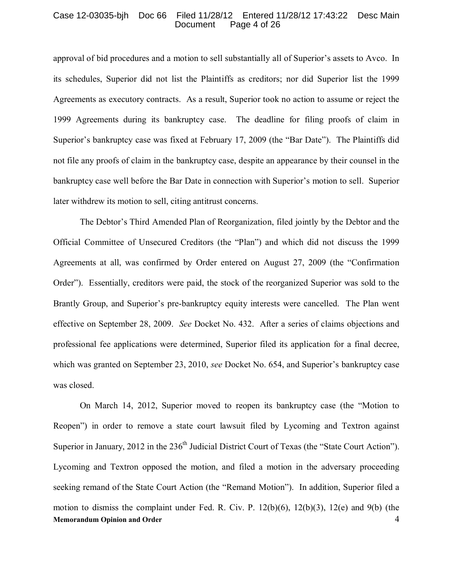#### Case 12-03035-bjh Doc 66 Filed 11/28/12 Entered 11/28/12 17:43:22 Desc Main Page 4 of 26

approval of bid procedures and a motion to sell substantially all of Superior's assets to Avco. In its schedules, Superior did not list the Plaintiffs as creditors; nor did Superior list the 1999 Agreements as executory contracts. As a result, Superior took no action to assume or reject the 1999 Agreements during its bankruptcy case. The deadline for filing proofs of claim in Superior's bankruptcy case was fixed at February 17, 2009 (the "Bar Date"). The Plaintiffs did not file any proofs of claim in the bankruptcy case, despite an appearance by their counsel in the bankruptcy case well before the Bar Date in connection with Superior's motion to sell. Superior later withdrew its motion to sell, citing antitrust concerns.

The Debtor's Third Amended Plan of Reorganization, filed jointly by the Debtor and the Official Committee of Unsecured Creditors (the "Plan") and which did not discuss the 1999 Agreements at all, was confirmed by Order entered on August 27, 2009 (the "Confirmation Order"). Essentially, creditors were paid, the stock of the reorganized Superior was sold to the Brantly Group, and Superior's pre-bankruptcy equity interests were cancelled. The Plan went effective on September 28, 2009. *See* Docket No. 432. After a series of claims objections and professional fee applications were determined, Superior filed its application for a final decree, which was granted on September 23, 2010, *see* Docket No. 654, and Superior's bankruptcy case was closed.

**Memorandum Opinion and Order** 4 On March 14, 2012, Superior moved to reopen its bankruptcy case (the "Motion to Reopen") in order to remove a state court lawsuit filed by Lycoming and Textron against Superior in January, 2012 in the  $236<sup>th</sup>$  Judicial District Court of Texas (the "State Court Action"). Lycoming and Textron opposed the motion, and filed a motion in the adversary proceeding seeking remand of the State Court Action (the "Remand Motion"). In addition, Superior filed a motion to dismiss the complaint under Fed. R. Civ. P. 12(b)(6), 12(b)(3), 12(e) and 9(b) (the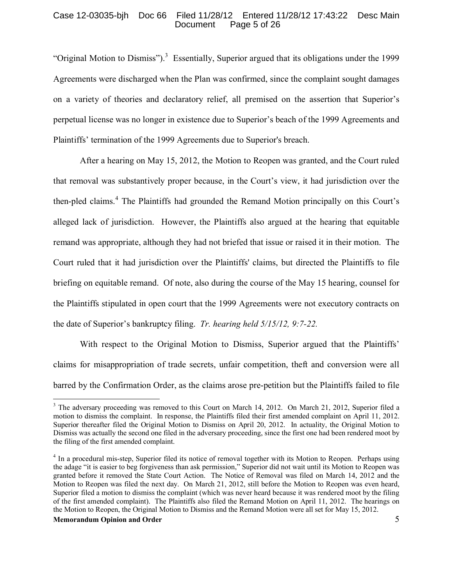## Case 12-03035-bjh Doc 66 Filed 11/28/12 Entered 11/28/12 17:43:22 Desc Main Page 5 of 26

"Original Motion to Dismiss").<sup>[3](#page-4-0)</sup> Essentially, Superior argued that its obligations under the 1999 Agreements were discharged when the Plan was confirmed, since the complaint sought damages on a variety of theories and declaratory relief, all premised on the assertion that Superior's perpetual license was no longer in existence due to Superior's beach of the 1999 Agreements and Plaintiffs' termination of the 1999 Agreements due to Superior's breach.

After a hearing on May 15, 2012, the Motion to Reopen was granted, and the Court ruled that removal was substantively proper because, in the Court's view, it had jurisdiction over the then-pled claims.<sup>[4](#page-4-1)</sup> The Plaintiffs had grounded the Remand Motion principally on this Court's alleged lack of jurisdiction. However, the Plaintiffs also argued at the hearing that equitable remand was appropriate, although they had not briefed that issue or raised it in their motion. The Court ruled that it had jurisdiction over the Plaintiffs' claims, but directed the Plaintiffs to file briefing on equitable remand. Of note, also during the course of the May 15 hearing, counsel for the Plaintiffs stipulated in open court that the 1999 Agreements were not executory contracts on the date of Superior's bankruptcy filing. *Tr. hearing held 5/15/12, 9:7-22.*

With respect to the Original Motion to Dismiss, Superior argued that the Plaintiffs' claims for misappropriation of trade secrets, unfair competition, theft and conversion were all barred by the Confirmation Order, as the claims arose pre-petition but the Plaintiffs failed to file

#### **Memorandum Opinion and Order** 5

<span id="page-4-0"></span><sup>&</sup>lt;sup>3</sup> The adversary proceeding was removed to this Court on March 14, 2012. On March 21, 2012, Superior filed a motion to dismiss the complaint. In response, the Plaintiffs filed their first amended complaint on April 11, 2012. Superior thereafter filed the Original Motion to Dismiss on April 20, 2012. In actuality, the Original Motion to Dismiss was actually the second one filed in the adversary proceeding, since the first one had been rendered moot by the filing of the first amended complaint.

<span id="page-4-1"></span><sup>&</sup>lt;sup>4</sup> In a procedural mis-step, Superior filed its notice of removal together with its Motion to Reopen. Perhaps using the adage "it is easier to beg forgiveness than ask permission," Superior did not wait until its Motion to Reopen was granted before it removed the State Court Action. The Notice of Removal was filed on March 14, 2012 and the Motion to Reopen was filed the next day. On March 21, 2012, still before the Motion to Reopen was even heard, Superior filed a motion to dismiss the complaint (which was never heard because it was rendered moot by the filing of the first amended complaint). The Plaintiffs also filed the Remand Motion on April 11, 2012. The hearings on the Motion to Reopen, the Original Motion to Dismiss and the Remand Motion were all set for May 15, 2012.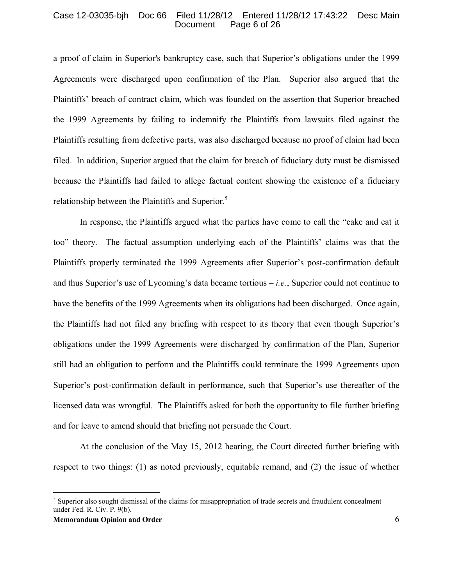#### Case 12-03035-bjh Doc 66 Filed 11/28/12 Entered 11/28/12 17:43:22 Desc Main Page 6 of 26

a proof of claim in Superior's bankruptcy case, such that Superior's obligations under the 1999 Agreements were discharged upon confirmation of the Plan. Superior also argued that the Plaintiffs' breach of contract claim, which was founded on the assertion that Superior breached the 1999 Agreements by failing to indemnify the Plaintiffs from lawsuits filed against the Plaintiffs resulting from defective parts, was also discharged because no proof of claim had been filed. In addition, Superior argued that the claim for breach of fiduciary duty must be dismissed because the Plaintiffs had failed to allege factual content showing the existence of a fiduciary relationship between the Plaintiffs and Superior.<sup>[5](#page-5-0)</sup>

In response, the Plaintiffs argued what the parties have come to call the "cake and eat it too" theory. The factual assumption underlying each of the Plaintiffs' claims was that the Plaintiffs properly terminated the 1999 Agreements after Superior's post-confirmation default and thus Superior's use of Lycoming's data became tortious – *i.e.*, Superior could not continue to have the benefits of the 1999 Agreements when its obligations had been discharged. Once again, the Plaintiffs had not filed any briefing with respect to its theory that even though Superior's obligations under the 1999 Agreements were discharged by confirmation of the Plan, Superior still had an obligation to perform and the Plaintiffs could terminate the 1999 Agreements upon Superior's post-confirmation default in performance, such that Superior's use thereafter of the licensed data was wrongful. The Plaintiffs asked for both the opportunity to file further briefing and for leave to amend should that briefing not persuade the Court.

At the conclusion of the May 15, 2012 hearing, the Court directed further briefing with respect to two things: (1) as noted previously, equitable remand, and (2) the issue of whether

<span id="page-5-0"></span><sup>&</sup>lt;sup>5</sup> Superior also sought dismissal of the claims for misappropriation of trade secrets and fraudulent concealment under Fed. R. Civ. P. 9(b).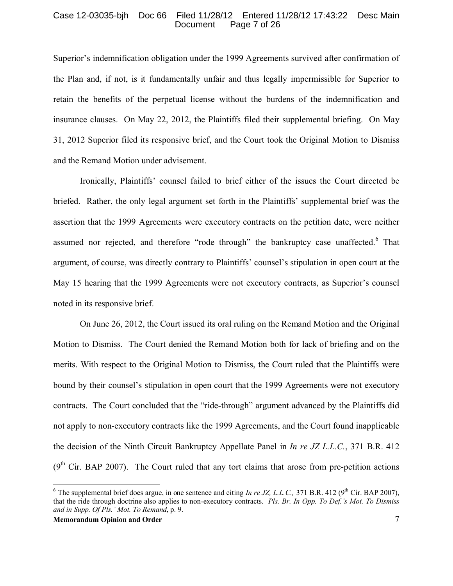### Case 12-03035-bjh Doc 66 Filed 11/28/12 Entered 11/28/12 17:43:22 Desc Main Page 7 of 26

Superior's indemnification obligation under the 1999 Agreements survived after confirmation of the Plan and, if not, is it fundamentally unfair and thus legally impermissible for Superior to retain the benefits of the perpetual license without the burdens of the indemnification and insurance clauses. On May 22, 2012, the Plaintiffs filed their supplemental briefing. On May 31, 2012 Superior filed its responsive brief, and the Court took the Original Motion to Dismiss and the Remand Motion under advisement.

Ironically, Plaintiffs' counsel failed to brief either of the issues the Court directed be briefed. Rather, the only legal argument set forth in the Plaintiffs' supplemental brief was the assertion that the 1999 Agreements were executory contracts on the petition date, were neither assumed nor rejected, and therefore "rode through" the bankruptcy case unaffected.<sup>[6](#page-6-0)</sup> That argument, of course, was directly contrary to Plaintiffs' counsel's stipulation in open court at the May 15 hearing that the 1999 Agreements were not executory contracts, as Superior's counsel noted in its responsive brief.

On June 26, 2012, the Court issued its oral ruling on the Remand Motion and the Original Motion to Dismiss. The Court denied the Remand Motion both for lack of briefing and on the merits. With respect to the Original Motion to Dismiss, the Court ruled that the Plaintiffs were bound by their counsel's stipulation in open court that the 1999 Agreements were not executory contracts. The Court concluded that the "ride-through" argument advanced by the Plaintiffs did not apply to non-executory contracts like the 1999 Agreements, and the Court found inapplicable the decision of the Ninth Circuit Bankruptcy Appellate Panel in *In re JZ L.L.C.*, 371 B.R. 412  $(9<sup>th</sup> Cir. BAP 2007)$ . The Court ruled that any tort claims that arose from pre-petition actions

<span id="page-6-0"></span><sup>&</sup>lt;sup>6</sup> The supplemental brief does argue, in one sentence and citing *In re JZ, L.L.C.*, 371 B.R. 412 (9<sup>th</sup> Cir. BAP 2007), that the ride through doctrine also applies to non-executory contracts. *Pls. Br. In Opp. To Def.'s Mot. To Dismiss and in Supp. Of Pls.' Mot. To Remand*, p. 9.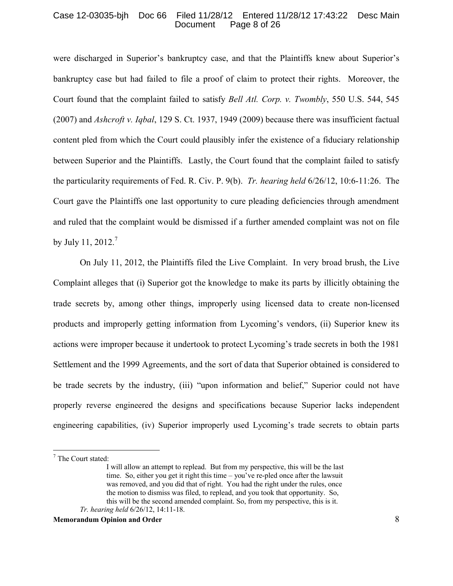## Case 12-03035-bjh Doc 66 Filed 11/28/12 Entered 11/28/12 17:43:22 Desc Main Page 8 of 26

were discharged in Superior's bankruptcy case, and that the Plaintiffs knew about Superior's bankruptcy case but had failed to file a proof of claim to protect their rights. Moreover, the Court found that the complaint failed to satisfy *Bell Atl. Corp. v. Twombly*, 550 U.S. 544, 545 (2007) and *Ashcroft v. Iqbal*, 129 S. Ct. 1937, 1949 (2009) because there was insufficient factual content pled from which the Court could plausibly infer the existence of a fiduciary relationship between Superior and the Plaintiffs. Lastly, the Court found that the complaint failed to satisfy the particularity requirements of Fed. R. Civ. P. 9(b). *Tr. hearing held* 6/26/12, 10:6-11:26. The Court gave the Plaintiffs one last opportunity to cure pleading deficiencies through amendment and ruled that the complaint would be dismissed if a further amended complaint was not on file by July 11, 2012. $^7$  $^7$ 

On July 11, 2012, the Plaintiffs filed the Live Complaint. In very broad brush, the Live Complaint alleges that (i) Superior got the knowledge to make its parts by illicitly obtaining the trade secrets by, among other things, improperly using licensed data to create non-licensed products and improperly getting information from Lycoming's vendors, (ii) Superior knew its actions were improper because it undertook to protect Lycoming's trade secrets in both the 1981 Settlement and the 1999 Agreements, and the sort of data that Superior obtained is considered to be trade secrets by the industry, (iii) "upon information and belief," Superior could not have properly reverse engineered the designs and specifications because Superior lacks independent engineering capabilities, (iv) Superior improperly used Lycoming's trade secrets to obtain parts

<span id="page-7-0"></span><sup>7</sup> The Court stated:

I will allow an attempt to replead. But from my perspective, this will be the last time. So, either you get it right this time – you've re-pled once after the lawsuit was removed, and you did that of right. You had the right under the rules, once the motion to dismiss was filed, to replead, and you took that opportunity. So, this will be the second amended complaint. So, from my perspective, this is it. *Tr. hearing held* 6/26/12, 14:11-18.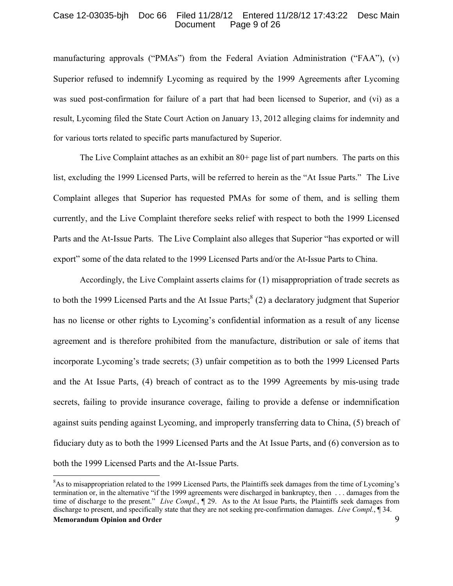### Case 12-03035-bjh Doc 66 Filed 11/28/12 Entered 11/28/12 17:43:22 Desc Main Page 9 of 26

manufacturing approvals ("PMAs") from the Federal Aviation Administration ("FAA"), (v) Superior refused to indemnify Lycoming as required by the 1999 Agreements after Lycoming was sued post-confirmation for failure of a part that had been licensed to Superior, and (vi) as a result, Lycoming filed the State Court Action on January 13, 2012 alleging claims for indemnity and for various torts related to specific parts manufactured by Superior.

The Live Complaint attaches as an exhibit an 80+ page list of part numbers. The parts on this list, excluding the 1999 Licensed Parts, will be referred to herein as the "At Issue Parts." The Live Complaint alleges that Superior has requested PMAs for some of them, and is selling them currently, and the Live Complaint therefore seeks relief with respect to both the 1999 Licensed Parts and the At-Issue Parts. The Live Complaint also alleges that Superior "has exported or will export" some of the data related to the 1999 Licensed Parts and/or the At-Issue Parts to China.

Accordingly, the Live Complaint asserts claims for (1) misappropriation of trade secrets as to both the 1999 Licensed Parts and the At Issue Parts;  $8(2)$  $8(2)$  a declaratory judgment that Superior has no license or other rights to Lycoming's confidential information as a result of any license agreement and is therefore prohibited from the manufacture, distribution or sale of items that incorporate Lycoming's trade secrets; (3) unfair competition as to both the 1999 Licensed Parts and the At Issue Parts, (4) breach of contract as to the 1999 Agreements by mis-using trade secrets, failing to provide insurance coverage, failing to provide a defense or indemnification against suits pending against Lycoming, and improperly transferring data to China, (5) breach of fiduciary duty as to both the 1999 Licensed Parts and the At Issue Parts, and (6) conversion as to both the 1999 Licensed Parts and the At-Issue Parts.

<span id="page-8-0"></span>**Memorandum Opinion and Order** 9 <sup>8</sup>As to misappropriation related to the 1999 Licensed Parts, the Plaintiffs seek damages from the time of Lycoming's termination or, in the alternative "if the 1999 agreements were discharged in bankruptcy, then . . . damages from the time of discharge to the present." *Live Compl.*, ¶ 29. As to the At Issue Parts, the Plaintiffs seek damages from discharge to present, and specifically state that they are not seeking pre-confirmation damages. *Live Compl.*, ¶ 34.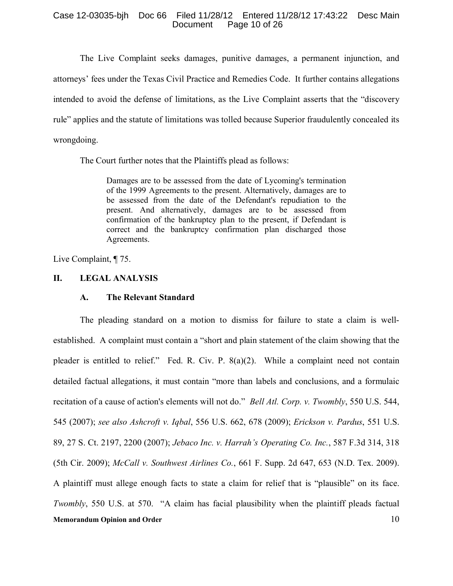## Case 12-03035-bjh Doc 66 Filed 11/28/12 Entered 11/28/12 17:43:22 Desc Main Page 10 of 26

The Live Complaint seeks damages, punitive damages, a permanent injunction, and attorneys' fees under the Texas Civil Practice and Remedies Code. It further contains allegations intended to avoid the defense of limitations, as the Live Complaint asserts that the "discovery rule" applies and the statute of limitations was tolled because Superior fraudulently concealed its wrongdoing.

The Court further notes that the Plaintiffs plead as follows:

Damages are to be assessed from the date of Lycoming's termination of the 1999 Agreements to the present. Alternatively, damages are to be assessed from the date of the Defendant's repudiation to the present. And alternatively, damages are to be assessed from confirmation of the bankruptcy plan to the present, if Defendant is correct and the bankruptcy confirmation plan discharged those Agreements.

Live Complaint, ¶ 75.

# **II. LEGAL ANALYSIS**

## **A. The Relevant Standard**

**Memorandum Opinion and Order** 10 The pleading standard on a motion to dismiss for failure to state a claim is wellestablished. A complaint must contain a "short and plain statement of the claim showing that the pleader is entitled to relief." Fed. R. Civ. P. 8(a)(2). While a complaint need not contain detailed factual allegations, it must contain "more than labels and conclusions, and a formulaic recitation of a cause of action's elements will not do." *Bell Atl. Corp. v. Twombly*, 550 U.S. 544, 545 (2007); *see also Ashcroft v. Iqbal*, 556 U.S. 662, 678 (2009); *Erickson v. Pardus*, 551 U.S. 89, 27 S. Ct. 2197, 2200 (2007); *Jebaco Inc. v. Harrah's Operating Co. Inc.*, 587 F.3d 314, 318 (5th Cir. 2009); *McCall v. Southwest Airlines Co.*, 661 F. Supp. 2d 647, 653 (N.D. Tex. 2009). A plaintiff must allege enough facts to state a claim for relief that is "plausible" on its face. *Twombly*, 550 U.S. at 570. "A claim has facial plausibility when the plaintiff pleads factual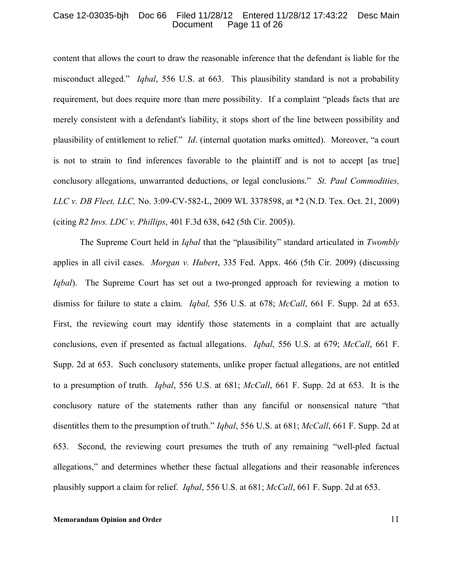#### Case 12-03035-bjh Doc 66 Filed 11/28/12 Entered 11/28/12 17:43:22 Desc Main Page 11 of 26

content that allows the court to draw the reasonable inference that the defendant is liable for the misconduct alleged." *Iqbal*, 556 U.S. at 663. This plausibility standard is not a probability requirement, but does require more than mere possibility. If a complaint "pleads facts that are merely consistent with a defendant's liability, it stops short of the line between possibility and plausibility of entitlement to relief." *Id*. (internal quotation marks omitted). Moreover, "a court is not to strain to find inferences favorable to the plaintiff and is not to accept [as true] conclusory allegations, unwarranted deductions, or legal conclusions." *St. Paul Commodities, LLC v. DB Fleet, LLC,* No. 3:09-CV-582-L, 2009 WL 3378598, at \*2 (N.D. Tex. Oct. 21, 2009) (citing *R2 Invs. LDC v. Phillips*, 401 F.3d 638, 642 (5th Cir. 2005)).

The Supreme Court held in *Iqbal* that the "plausibility" standard articulated in *Twombly* applies in all civil cases. *Morgan v. Hubert*, 335 Fed. Appx. 466 (5th Cir. 2009) (discussing *Iqbal*). The Supreme Court has set out a two-pronged approach for reviewing a motion to dismiss for failure to state a claim. *Iqbal,* 556 U.S. at 678; *McCall*, 661 F. Supp. 2d at 653. First, the reviewing court may identify those statements in a complaint that are actually conclusions, even if presented as factual allegations. *Iqbal*, 556 U.S. at 679; *McCall*, 661 F. Supp. 2d at 653. Such conclusory statements, unlike proper factual allegations, are not entitled to a presumption of truth. *Iqbal*, 556 U.S. at 681; *McCall*, 661 F. Supp. 2d at 653. It is the conclusory nature of the statements rather than any fanciful or nonsensical nature "that disentitles them to the presumption of truth." *Iqbal*, 556 U.S. at 681; *McCall*, 661 F. Supp. 2d at 653. Second, the reviewing court presumes the truth of any remaining "well-pled factual allegations," and determines whether these factual allegations and their reasonable inferences plausibly support a claim for relief. *Iqbal*, 556 U.S. at 681; *McCall*, 661 F. Supp. 2d at 653.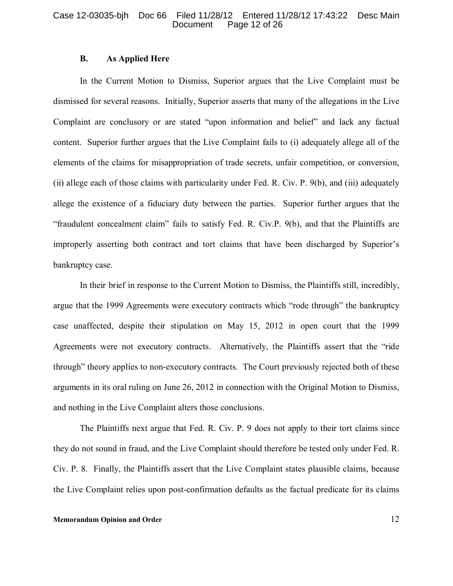### Case 12-03035-bjh Doc 66 Filed 11/28/12 Entered 11/28/12 17:43:22 Desc Main Page 12 of 26

## **B. As Applied Here**

In the Current Motion to Dismiss, Superior argues that the Live Complaint must be dismissed for several reasons. Initially, Superior asserts that many of the allegations in the Live Complaint are conclusory or are stated "upon information and belief" and lack any factual content. Superior further argues that the Live Complaint fails to (i) adequately allege all of the elements of the claims for misappropriation of trade secrets, unfair competition, or conversion, (ii) allege each of those claims with particularity under Fed. R. Civ. P. 9(b), and (iii) adequately allege the existence of a fiduciary duty between the parties. Superior further argues that the "fraudulent concealment claim" fails to satisfy Fed. R. Civ.P. 9(b), and that the Plaintiffs are improperly asserting both contract and tort claims that have been discharged by Superior's bankruptcy case.

In their brief in response to the Current Motion to Dismiss, the Plaintiffs still, incredibly, argue that the 1999 Agreements were executory contracts which "rode through" the bankruptcy case unaffected, despite their stipulation on May 15, 2012 in open court that the 1999 Agreements were not executory contracts. Alternatively, the Plaintiffs assert that the "ride through" theory applies to non-executory contracts. The Court previously rejected both of these arguments in its oral ruling on June 26, 2012 in connection with the Original Motion to Dismiss, and nothing in the Live Complaint alters those conclusions.

The Plaintiffs next argue that Fed. R. Civ. P. 9 does not apply to their tort claims since they do not sound in fraud, and the Live Complaint should therefore be tested only under Fed. R. Civ. P. 8. Finally, the Plaintiffs assert that the Live Complaint states plausible claims, because the Live Complaint relies upon post-confirmation defaults as the factual predicate for its claims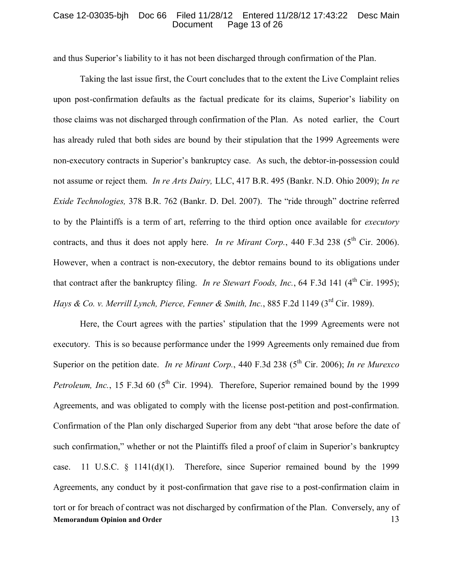#### Case 12-03035-bjh Doc 66 Filed 11/28/12 Entered 11/28/12 17:43:22 Desc Main Page 13 of 26

and thus Superior's liability to it has not been discharged through confirmation of the Plan.

Taking the last issue first, the Court concludes that to the extent the Live Complaint relies upon post-confirmation defaults as the factual predicate for its claims, Superior's liability on those claims was not discharged through confirmation of the Plan. As noted earlier, the Court has already ruled that both sides are bound by their stipulation that the 1999 Agreements were non-executory contracts in Superior's bankruptcy case. As such, the debtor-in-possession could not assume or reject them. *In re Arts Dairy,* LLC, 417 B.R. 495 (Bankr. N.D. Ohio 2009); *In re Exide Technologies,* 378 B.R. 762 (Bankr. D. Del. 2007). The "ride through" doctrine referred to by the Plaintiffs is a term of art, referring to the third option once available for *executory* contracts, and thus it does not apply here. *In re Mirant Corp.*, 440 F.3d 238 ( $5<sup>th</sup>$  Cir. 2006). However, when a contract is non-executory, the debtor remains bound to its obligations under that contract after the bankruptcy filing. *In re Stewart Foods, Inc.*, 64 F.3d 141 (4<sup>th</sup> Cir. 1995); *Hays & Co. v. Merrill Lynch, Pierce, Fenner & Smith, Inc., 885 F.2d 1149 (3<sup>rd</sup> Cir. 1989).* 

**Memorandum Opinion and Order** 13 Here, the Court agrees with the parties' stipulation that the 1999 Agreements were not executory. This is so because performance under the 1999 Agreements only remained due from Superior on the petition date. *In re Mirant Corp.*, 440 F.3d 238 (5<sup>th</sup> Cir. 2006); *In re Murexco Petroleum, Inc.*, 15 F.3d 60 (5<sup>th</sup> Cir. 1994). Therefore, Superior remained bound by the 1999 Agreements, and was obligated to comply with the license post-petition and post-confirmation. Confirmation of the Plan only discharged Superior from any debt "that arose before the date of such confirmation," whether or not the Plaintiffs filed a proof of claim in Superior's bankruptcy case. 11 U.S.C.  $\frac{1}{2}$  1141(d)(1). Therefore, since Superior remained bound by the 1999 Agreements, any conduct by it post-confirmation that gave rise to a post-confirmation claim in tort or for breach of contract was not discharged by confirmation of the Plan. Conversely, any of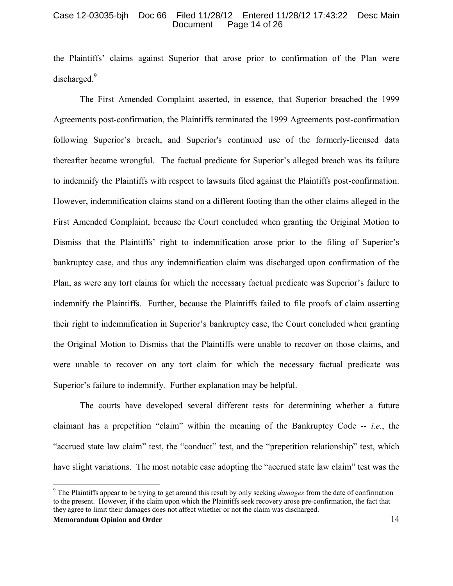### Case 12-03035-bjh Doc 66 Filed 11/28/12 Entered 11/28/12 17:43:22 Desc Main Page 14 of 26

the Plaintiffs' claims against Superior that arose prior to confirmation of the Plan were discharged.<sup>[9](#page-13-0)</sup>

The First Amended Complaint asserted, in essence, that Superior breached the 1999 Agreements post-confirmation, the Plaintiffs terminated the 1999 Agreements post-confirmation following Superior's breach, and Superior's continued use of the formerly-licensed data thereafter became wrongful. The factual predicate for Superior's alleged breach was its failure to indemnify the Plaintiffs with respect to lawsuits filed against the Plaintiffs post-confirmation. However, indemnification claims stand on a different footing than the other claims alleged in the First Amended Complaint, because the Court concluded when granting the Original Motion to Dismiss that the Plaintiffs' right to indemnification arose prior to the filing of Superior's bankruptcy case, and thus any indemnification claim was discharged upon confirmation of the Plan, as were any tort claims for which the necessary factual predicate was Superior's failure to indemnify the Plaintiffs. Further, because the Plaintiffs failed to file proofs of claim asserting their right to indemnification in Superior's bankruptcy case, the Court concluded when granting the Original Motion to Dismiss that the Plaintiffs were unable to recover on those claims, and were unable to recover on any tort claim for which the necessary factual predicate was Superior's failure to indemnify. Further explanation may be helpful.

The courts have developed several different tests for determining whether a future claimant has a prepetition "claim" within the meaning of the Bankruptcy Code -- *i.e.*, the "accrued state law claim" test, the "conduct" test, and the "prepetition relationship" test, which have slight variations. The most notable case adopting the "accrued state law claim" test was the

<span id="page-13-0"></span>**Memorandum Opinion and Order** 14 <sup>9</sup> The Plaintiffs appear to be trying to get around this result by only seeking *damages* from the date of confirmation to the present. However, if the claim upon which the Plaintiffs seek recovery arose pre-confirmation, the fact that they agree to limit their damages does not affect whether or not the claim was discharged.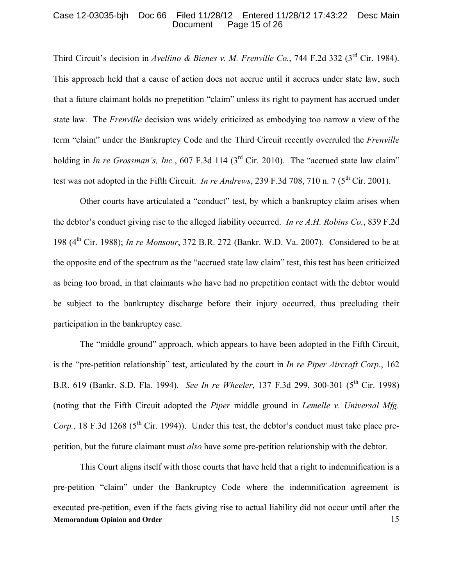## Case 12-03035-bjh Doc 66 Filed 11/28/12 Entered 11/28/12 17:43:22 Desc Main Page 15 of 26

Third Circuit's decision in *Avellino & Bienes v. M. Frenville Co.*, 744 F.2d 332 (3rd Cir. 1984). This approach held that a cause of action does not accrue until it accrues under state law, such that a future claimant holds no prepetition "claim" unless its right to payment has accrued under state law. The *Frenville* decision was widely criticized as embodying too narrow a view of the term "claim" under the Bankruptcy Code and the Third Circuit recently overruled the *Frenville* holding in *In re Grossman's, Inc.*, 607 F.3d 114 (3<sup>rd</sup> Cir. 2010). The "accrued state law claim" test was not adopted in the Fifth Circuit. *In re Andrews*, 239 F.3d 708, 710 n. 7 ( $5<sup>th</sup>$  Cir. 2001).

Other courts have articulated a "conduct" test, by which a bankruptcy claim arises when the debtor's conduct giving rise to the alleged liability occurred. *In re A.H. Robins Co.*, 839 F.2d 198 (4th Cir. 1988); *In re Monsour*, 372 B.R. 272 (Bankr. W.D. Va. 2007). Considered to be at the opposite end of the spectrum as the "accrued state law claim" test, this test has been criticized as being too broad, in that claimants who have had no prepetition contact with the debtor would be subject to the bankruptcy discharge before their injury occurred, thus precluding their participation in the bankruptcy case.

The "middle ground" approach, which appears to have been adopted in the Fifth Circuit, is the "pre-petition relationship" test, articulated by the court in *In re Piper Aircraft Corp.*, 162 B.R. 619 (Bankr. S.D. Fla. 1994). *See In re Wheeler*, 137 F.3d 299, 300-301 (5<sup>th</sup> Cir. 1998) (noting that the Fifth Circuit adopted the *Piper* middle ground in *Lemelle v. Universal Mfg. Corp.*, 18 F.3d 1268 (5<sup>th</sup> Cir. 1994)). Under this test, the debtor's conduct must take place prepetition, but the future claimant must *also* have some pre-petition relationship with the debtor.

**Memorandum Opinion and Order** 15 This Court aligns itself with those courts that have held that a right to indemnification is a pre-petition "claim" under the Bankruptcy Code where the indemnification agreement is executed pre-petition, even if the facts giving rise to actual liability did not occur until after the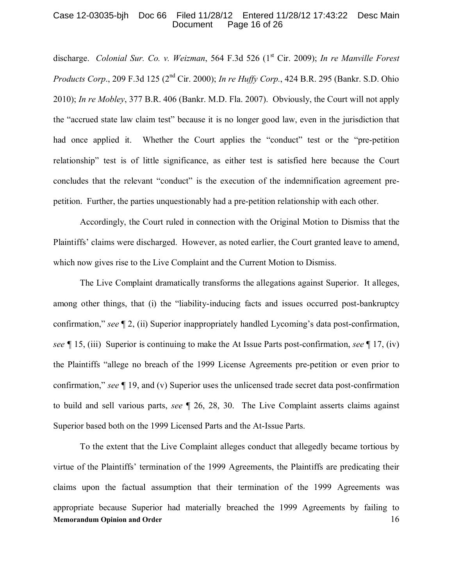## Case 12-03035-bjh Doc 66 Filed 11/28/12 Entered 11/28/12 17:43:22 Desc Main Page 16 of 26

discharge. *Colonial Sur. Co. v. Weizman,* 564 F.3d 526 (1<sup>st</sup> Cir. 2009); *In re Manville Forest Products Corp*., 209 F.3d 125 (2nd Cir. 2000); *In re Huffy Corp.*, 424 B.R. 295 (Bankr. S.D. Ohio 2010); *In re Mobley*, 377 B.R. 406 (Bankr. M.D. Fla. 2007). Obviously, the Court will not apply the "accrued state law claim test" because it is no longer good law, even in the jurisdiction that had once applied it. Whether the Court applies the "conduct" test or the "pre-petition relationship" test is of little significance, as either test is satisfied here because the Court concludes that the relevant "conduct" is the execution of the indemnification agreement prepetition. Further, the parties unquestionably had a pre-petition relationship with each other.

Accordingly, the Court ruled in connection with the Original Motion to Dismiss that the Plaintiffs' claims were discharged. However, as noted earlier, the Court granted leave to amend, which now gives rise to the Live Complaint and the Current Motion to Dismiss.

The Live Complaint dramatically transforms the allegations against Superior. It alleges, among other things, that (i) the "liability-inducing facts and issues occurred post-bankruptcy confirmation," *see* ¶ 2, (ii) Superior inappropriately handled Lycoming's data post-confirmation, *see ¶* 15, (iii) Superior is continuing to make the At Issue Parts post-confirmation, *see* ¶ 17, (iv) the Plaintiffs "allege no breach of the 1999 License Agreements pre-petition or even prior to confirmation," *see* ¶ 19, and (v) Superior uses the unlicensed trade secret data post-confirmation to build and sell various parts, *see* ¶ 26, 28, 30. The Live Complaint asserts claims against Superior based both on the 1999 Licensed Parts and the At-Issue Parts.

**Memorandum Opinion and Order** 16 To the extent that the Live Complaint alleges conduct that allegedly became tortious by virtue of the Plaintiffs' termination of the 1999 Agreements, the Plaintiffs are predicating their claims upon the factual assumption that their termination of the 1999 Agreements was appropriate because Superior had materially breached the 1999 Agreements by failing to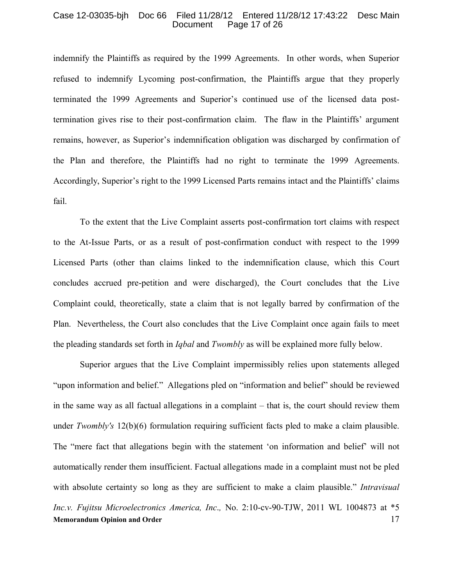#### Case 12-03035-bjh Doc 66 Filed 11/28/12 Entered 11/28/12 17:43:22 Desc Main Page 17 of 26

indemnify the Plaintiffs as required by the 1999 Agreements. In other words, when Superior refused to indemnify Lycoming post-confirmation, the Plaintiffs argue that they properly terminated the 1999 Agreements and Superior's continued use of the licensed data posttermination gives rise to their post-confirmation claim. The flaw in the Plaintiffs' argument remains, however, as Superior's indemnification obligation was discharged by confirmation of the Plan and therefore, the Plaintiffs had no right to terminate the 1999 Agreements. Accordingly, Superior's right to the 1999 Licensed Parts remains intact and the Plaintiffs' claims fail.

To the extent that the Live Complaint asserts post-confirmation tort claims with respect to the At-Issue Parts, or as a result of post-confirmation conduct with respect to the 1999 Licensed Parts (other than claims linked to the indemnification clause, which this Court concludes accrued pre-petition and were discharged), the Court concludes that the Live Complaint could, theoretically, state a claim that is not legally barred by confirmation of the Plan. Nevertheless, the Court also concludes that the Live Complaint once again fails to meet the pleading standards set forth in *Iqbal* and *Twombly* as will be explained more fully below.

**Memorandum Opinion and Order** 17 Superior argues that the Live Complaint impermissibly relies upon statements alleged "upon information and belief." Allegations pled on "information and belief" should be reviewed in the same way as all factual allegations in a complaint – that is, the court should review them under *Twombly's* 12(b)(6) formulation requiring sufficient facts pled to make a claim plausible. The "mere fact that allegations begin with the statement 'on information and belief' will not automatically render them insufficient. Factual allegations made in a complaint must not be pled with absolute certainty so long as they are sufficient to make a claim plausible." *Intravisual Inc.v. Fujitsu Microelectronics America, Inc*.*,* No. 2:10-cv-90-TJW, 2011 WL 1004873 at \*5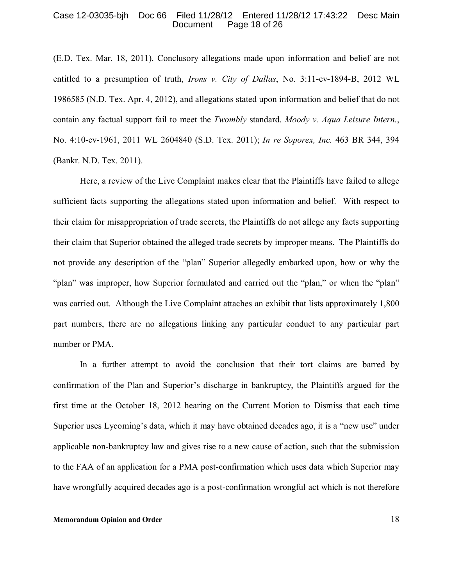#### Case 12-03035-bjh Doc 66 Filed 11/28/12 Entered 11/28/12 17:43:22 Desc Main Page 18 of 26

(E.D. Tex. Mar. 18, 2011). Conclusory allegations made upon information and belief are not entitled to a presumption of truth, *Irons v. City of Dallas*, No. 3:11-cv-1894-B, 2012 WL 1986585 (N.D. Tex. Apr. 4, 2012), and allegations stated upon information and belief that do not contain any factual support fail to meet the *Twombly* standard. *Moody v. Aqua Leisure Intern.*, No. 4:10-cv-1961, 2011 WL 2604840 (S.D. Tex. 2011); *In re Soporex, Inc.* 463 BR 344, 394 (Bankr. N.D. Tex. 2011).

Here, a review of the Live Complaint makes clear that the Plaintiffs have failed to allege sufficient facts supporting the allegations stated upon information and belief. With respect to their claim for misappropriation of trade secrets, the Plaintiffs do not allege any facts supporting their claim that Superior obtained the alleged trade secrets by improper means. The Plaintiffs do not provide any description of the "plan" Superior allegedly embarked upon, how or why the "plan" was improper, how Superior formulated and carried out the "plan," or when the "plan" was carried out. Although the Live Complaint attaches an exhibit that lists approximately 1,800 part numbers, there are no allegations linking any particular conduct to any particular part number or PMA.

In a further attempt to avoid the conclusion that their tort claims are barred by confirmation of the Plan and Superior's discharge in bankruptcy, the Plaintiffs argued for the first time at the October 18, 2012 hearing on the Current Motion to Dismiss that each time Superior uses Lycoming's data, which it may have obtained decades ago, it is a "new use" under applicable non-bankruptcy law and gives rise to a new cause of action, such that the submission to the FAA of an application for a PMA post-confirmation which uses data which Superior may have wrongfully acquired decades ago is a post-confirmation wrongful act which is not therefore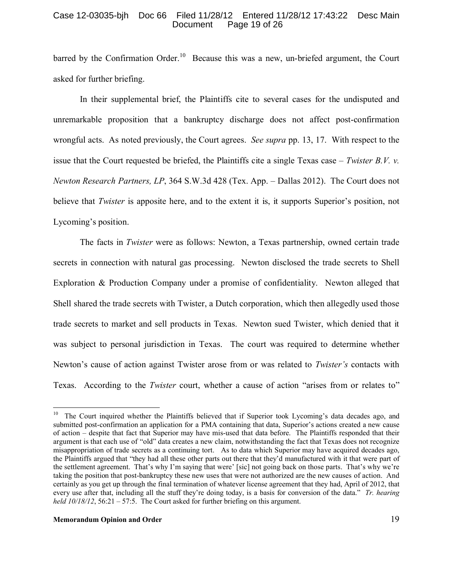## Case 12-03035-bjh Doc 66 Filed 11/28/12 Entered 11/28/12 17:43:22 Desc Main Page 19 of 26

barred by the Confirmation Order.<sup>[10](#page-18-0)</sup> Because this was a new, un-briefed argument, the Court asked for further briefing.

In their supplemental brief, the Plaintiffs cite to several cases for the undisputed and unremarkable proposition that a bankruptcy discharge does not affect post-confirmation wrongful acts. As noted previously, the Court agrees. *See supra* pp. 13, 17. With respect to the issue that the Court requested be briefed, the Plaintiffs cite a single Texas case – *Twister B.V. v. Newton Research Partners, LP*, 364 S.W.3d 428 (Tex. App. – Dallas 2012). The Court does not believe that *Twister* is apposite here, and to the extent it is, it supports Superior's position, not Lycoming's position.

The facts in *Twister* were as follows: Newton, a Texas partnership, owned certain trade secrets in connection with natural gas processing. Newton disclosed the trade secrets to Shell Exploration & Production Company under a promise of confidentiality. Newton alleged that Shell shared the trade secrets with Twister, a Dutch corporation, which then allegedly used those trade secrets to market and sell products in Texas. Newton sued Twister, which denied that it was subject to personal jurisdiction in Texas. The court was required to determine whether Newton's cause of action against Twister arose from or was related to *Twister's* contacts with Texas. According to the *Twister* court, whether a cause of action "arises from or relates to"

<span id="page-18-0"></span><sup>&</sup>lt;sup>10</sup> The Court inquired whether the Plaintiffs believed that if Superior took Lycoming's data decades ago, and submitted post-confirmation an application for a PMA containing that data, Superior's actions created a new cause of action – despite that fact that Superior may have mis-used that data before. The Plaintiffs responded that their argument is that each use of "old" data creates a new claim, notwithstanding the fact that Texas does not recognize misappropriation of trade secrets as a continuing tort. As to data which Superior may have acquired decades ago, the Plaintiffs argued that "they had all these other parts out there that they'd manufactured with it that were part of the settlement agreement. That's why I'm saying that were' [sic] not going back on those parts. That's why we're taking the position that post-bankruptcy these new uses that were not authorized are the new causes of action. And certainly as you get up through the final termination of whatever license agreement that they had, April of 2012, that every use after that, including all the stuff they're doing today, is a basis for conversion of the data." *Tr. hearing held 10/18/12*, 56:21 – 57:5. The Court asked for further briefing on this argument.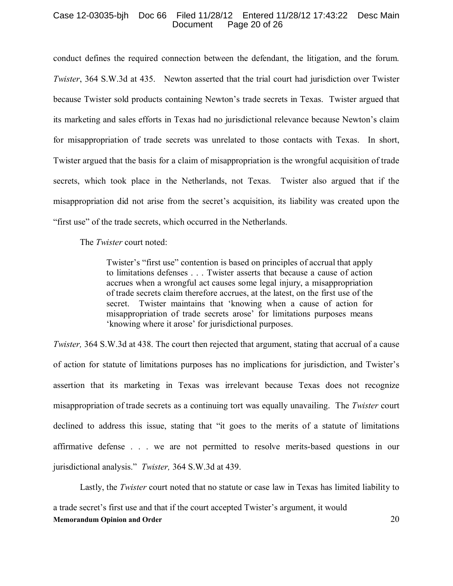## Case 12-03035-bjh Doc 66 Filed 11/28/12 Entered 11/28/12 17:43:22 Desc Main Page 20 of 26

conduct defines the required connection between the defendant, the litigation, and the forum. *Twister*, 364 S.W.3d at 435. Newton asserted that the trial court had jurisdiction over Twister because Twister sold products containing Newton's trade secrets in Texas. Twister argued that its marketing and sales efforts in Texas had no jurisdictional relevance because Newton's claim for misappropriation of trade secrets was unrelated to those contacts with Texas. In short, Twister argued that the basis for a claim of misappropriation is the wrongful acquisition of trade secrets, which took place in the Netherlands, not Texas. Twister also argued that if the misappropriation did not arise from the secret's acquisition, its liability was created upon the "first use" of the trade secrets, which occurred in the Netherlands.

The *Twister* court noted:

Twister's "first use" contention is based on principles of accrual that apply to limitations defenses . . . Twister asserts that because a cause of action accrues when a wrongful act causes some legal injury, a misappropriation of trade secrets claim therefore accrues, at the latest, on the first use of the secret. Twister maintains that 'knowing when a cause of action for misappropriation of trade secrets arose' for limitations purposes means 'knowing where it arose' for jurisdictional purposes.

*Twister,* 364 S.W.3d at 438. The court then rejected that argument, stating that accrual of a cause of action for statute of limitations purposes has no implications for jurisdiction, and Twister's assertion that its marketing in Texas was irrelevant because Texas does not recognize misappropriation of trade secrets as a continuing tort was equally unavailing. The *Twister* court declined to address this issue, stating that "it goes to the merits of a statute of limitations affirmative defense . . . we are not permitted to resolve merits-based questions in our jurisdictional analysis." *Twister,* 364 S.W.3d at 439.

**Memorandum Opinion and Order** 20 Lastly, the *Twister* court noted that no statute or case law in Texas has limited liability to a trade secret's first use and that if the court accepted Twister's argument, it would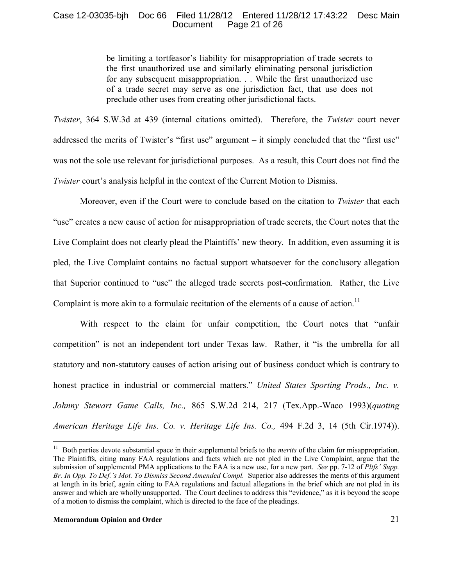## Case 12-03035-bjh Doc 66 Filed 11/28/12 Entered 11/28/12 17:43:22 Desc Main Page 21 of 26

be limiting a tortfeasor's liability for misappropriation of trade secrets to the first unauthorized use and similarly eliminating personal jurisdiction for any subsequent misappropriation. . . While the first unauthorized use of a trade secret may serve as one jurisdiction fact, that use does not preclude other uses from creating other jurisdictional facts.

*Twister*, 364 S.W.3d at 439 (internal citations omitted). Therefore, the *Twister* court never addressed the merits of Twister's "first use" argument – it simply concluded that the "first use" was not the sole use relevant for jurisdictional purposes. As a result, this Court does not find the *Twister* court's analysis helpful in the context of the Current Motion to Dismiss.

Moreover, even if the Court were to conclude based on the citation to *Twister* that each "use" creates a new cause of action for misappropriation of trade secrets, the Court notes that the Live Complaint does not clearly plead the Plaintiffs' new theory. In addition, even assuming it is pled, the Live Complaint contains no factual support whatsoever for the conclusory allegation that Superior continued to "use" the alleged trade secrets post-confirmation. Rather, the Live Complaint is more akin to a formulaic recitation of the elements of a cause of action.<sup>[11](#page-20-0)</sup>

With respect to the claim for unfair competition, the Court notes that "unfair competition" is not an independent tort under Texas law. Rather, it "is the umbrella for all statutory and non-statutory causes of action arising out of business conduct which is contrary to honest practice in industrial or commercial matters." *United States Sporting Prods., Inc. v. Johnny Stewart Game Calls, Inc.,* 865 S.W.2d 214, 217 (Tex.App.-Waco 1993)(*quoting American Heritage Life Ins. Co. v. Heritage Life Ins. Co.,* 494 F.2d 3, 14 (5th Cir.1974)).

<span id="page-20-0"></span><sup>&</sup>lt;sup>11</sup> Both parties devote substantial space in their supplemental briefs to the *merits* of the claim for misappropriation. The Plaintiffs, citing many FAA regulations and facts which are not pled in the Live Complaint, argue that the submission of supplemental PMA applications to the FAA is a new use, for a new part. *See* pp. 7-12 of *Pltfs' Supp. Br. In Opp. To Def.'s Mot. To Dismiss Second Amended Compl.* Superior also addresses the merits of this argument at length in its brief, again citing to FAA regulations and factual allegations in the brief which are not pled in its answer and which are wholly unsupported. The Court declines to address this "evidence," as it is beyond the scope of a motion to dismiss the complaint, which is directed to the face of the pleadings.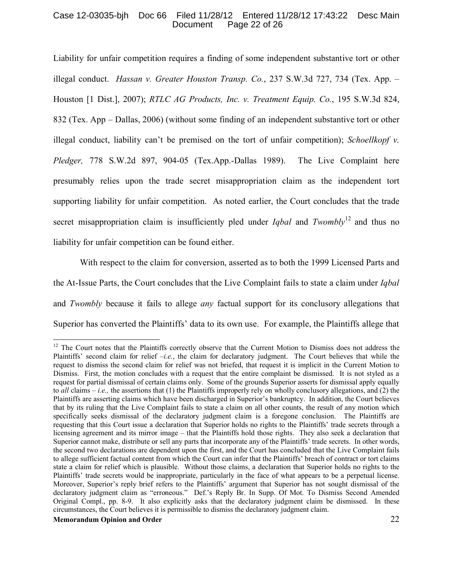## Case 12-03035-bjh Doc 66 Filed 11/28/12 Entered 11/28/12 17:43:22 Desc Main Page 22 of 26

Liability for unfair competition requires a finding of some independent substantive tort or other illegal conduct. *Hassan v. Greater Houston Transp. Co.*, 237 S.W.3d 727, 734 (Tex. App. – Houston [1 Dist.], 2007); *RTLC AG Products, Inc. v. Treatment Equip. Co.*, 195 S.W.3d 824, 832 (Tex. App – Dallas, 2006) (without some finding of an independent substantive tort or other illegal conduct, liability can't be premised on the tort of unfair competition); *Schoellkopf v. Pledger,* 778 S.W.2d 897, 904-05 (Tex.App.-Dallas 1989). The Live Complaint here presumably relies upon the trade secret misappropriation claim as the independent tort supporting liability for unfair competition. As noted earlier, the Court concludes that the trade secret misappropriation claim is insufficiently pled under *Igbal* and *Twombly*<sup>[12](#page-21-0)</sup> and thus no liability for unfair competition can be found either.

With respect to the claim for conversion, asserted as to both the 1999 Licensed Parts and the At-Issue Parts, the Court concludes that the Live Complaint fails to state a claim under *Iqbal* and *Twombly* because it fails to allege *any* factual support for its conclusory allegations that Superior has converted the Plaintiffs' data to its own use. For example, the Plaintiffs allege that

<span id="page-21-0"></span> $12$  The Court notes that the Plaintiffs correctly observe that the Current Motion to Dismiss does not address the Plaintiffs' second claim for relief  $-i.e.$ , the claim for declaratory judgment. The Court believes that while the request to dismiss the second claim for relief was not briefed, that request it is implicit in the Current Motion to Dismiss. First, the motion concludes with a request that the entire complaint be dismissed. It is not styled as a request for partial dismissal of certain claims only. Some of the grounds Superior asserts for dismissal apply equally to *all* claims – *i.e.,* the assertions that (1) the Plaintiffs improperly rely on wholly conclusory allegations, and (2) the Plaintiffs are asserting claims which have been discharged in Superior's bankruptcy. In addition, the Court believes that by its ruling that the Live Complaint fails to state a claim on all other counts, the result of any motion which specifically seeks dismissal of the declaratory judgment claim is a foregone conclusion. The Plaintiffs are requesting that this Court issue a declaration that Superior holds no rights to the Plaintiffs' trade secrets through a licensing agreement and its mirror image – that the Plaintiffs hold those rights. They also seek a declaration that Superior cannot make, distribute or sell any parts that incorporate any of the Plaintiffs' trade secrets. In other words, the second two declarations are dependent upon the first, and the Court has concluded that the Live Complaint fails to allege sufficient factual content from which the Court can infer that the Plaintiffs' breach of contract or tort claims state a claim for relief which is plausible. Without those claims, a declaration that Superior holds no rights to the Plaintiffs' trade secrets would be inappropriate, particularly in the face of what appears to be a perpetual license. Moreover, Superior's reply brief refers to the Plaintiffs' argument that Superior has not sought dismissal of the declaratory judgment claim as "erroneous." Def.'s Reply Br. In Supp. Of Mot. To Dismiss Second Amended Original Compl., pp. 8-9. It also explicitly asks that the declaratory judgment claim be dismissed. In these circumstances, the Court believes it is permissible to dismiss the declaratory judgment claim.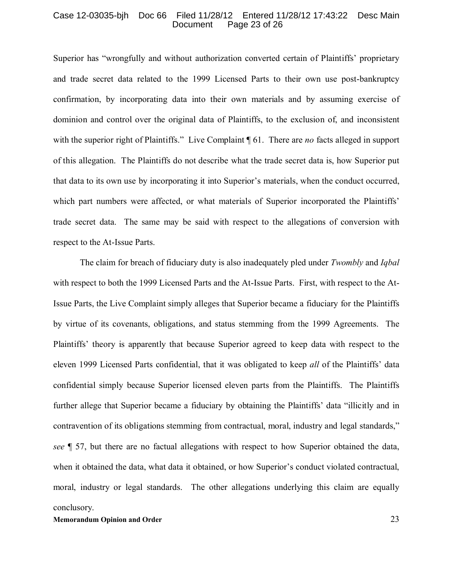#### Case 12-03035-bjh Doc 66 Filed 11/28/12 Entered 11/28/12 17:43:22 Desc Main Page 23 of 26

Superior has "wrongfully and without authorization converted certain of Plaintiffs' proprietary and trade secret data related to the 1999 Licensed Parts to their own use post-bankruptcy confirmation, by incorporating data into their own materials and by assuming exercise of dominion and control over the original data of Plaintiffs, to the exclusion of, and inconsistent with the superior right of Plaintiffs." Live Complaint ¶ 61. There are *no* facts alleged in support of this allegation. The Plaintiffs do not describe what the trade secret data is, how Superior put that data to its own use by incorporating it into Superior's materials, when the conduct occurred, which part numbers were affected, or what materials of Superior incorporated the Plaintiffs' trade secret data. The same may be said with respect to the allegations of conversion with respect to the At-Issue Parts.

The claim for breach of fiduciary duty is also inadequately pled under *Twombly* and *Iqbal* with respect to both the 1999 Licensed Parts and the At-Issue Parts. First, with respect to the At-Issue Parts, the Live Complaint simply alleges that Superior became a fiduciary for the Plaintiffs by virtue of its covenants, obligations, and status stemming from the 1999 Agreements. The Plaintiffs' theory is apparently that because Superior agreed to keep data with respect to the eleven 1999 Licensed Parts confidential, that it was obligated to keep *all* of the Plaintiffs' data confidential simply because Superior licensed eleven parts from the Plaintiffs. The Plaintiffs further allege that Superior became a fiduciary by obtaining the Plaintiffs' data "illicitly and in contravention of its obligations stemming from contractual, moral, industry and legal standards," *see* ¶ 57, but there are no factual allegations with respect to how Superior obtained the data, when it obtained the data, what data it obtained, or how Superior's conduct violated contractual, moral, industry or legal standards. The other allegations underlying this claim are equally conclusory.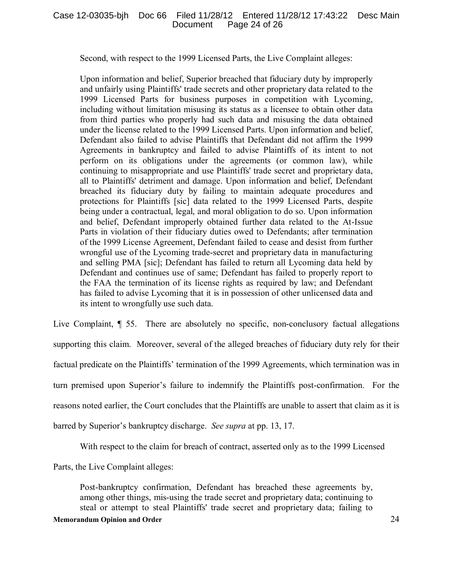Second, with respect to the 1999 Licensed Parts, the Live Complaint alleges:

Upon information and belief, Superior breached that fiduciary duty by improperly and unfairly using Plaintiffs' trade secrets and other proprietary data related to the 1999 Licensed Parts for business purposes in competition with Lycoming, including without limitation misusing its status as a licensee to obtain other data from third parties who properly had such data and misusing the data obtained under the license related to the 1999 Licensed Parts. Upon information and belief, Defendant also failed to advise Plaintiffs that Defendant did not affirm the 1999 Agreements in bankruptcy and failed to advise Plaintiffs of its intent to not perform on its obligations under the agreements (or common law), while continuing to misappropriate and use Plaintiffs' trade secret and proprietary data, all to Plaintiffs' detriment and damage. Upon information and belief, Defendant breached its fiduciary duty by failing to maintain adequate procedures and protections for Plaintiffs [sic] data related to the 1999 Licensed Parts, despite being under a contractual, legal, and moral obligation to do so. Upon information and belief, Defendant improperly obtained further data related to the At-Issue Parts in violation of their fiduciary duties owed to Defendants; after termination of the 1999 License Agreement, Defendant failed to cease and desist from further wrongful use of the Lycoming trade-secret and proprietary data in manufacturing and selling PMA [sic]; Defendant has failed to return all Lycoming data held by Defendant and continues use of same; Defendant has failed to properly report to the FAA the termination of its license rights as required by law; and Defendant has failed to advise Lycoming that it is in possession of other unlicensed data and its intent to wrongfully use such data.

Live Complaint, ¶ 55. There are absolutely no specific, non-conclusory factual allegations supporting this claim. Moreover, several of the alleged breaches of fiduciary duty rely for their factual predicate on the Plaintiffs' termination of the 1999 Agreements, which termination was in turn premised upon Superior's failure to indemnify the Plaintiffs post-confirmation. For the reasons noted earlier, the Court concludes that the Plaintiffs are unable to assert that claim as it is barred by Superior's bankruptcy discharge. *See supra* at pp. 13, 17.

With respect to the claim for breach of contract, asserted only as to the 1999 Licensed

Parts, the Live Complaint alleges:

Post-bankruptcy confirmation, Defendant has breached these agreements by, among other things, mis-using the trade secret and proprietary data; continuing to steal or attempt to steal Plaintiffs' trade secret and proprietary data; failing to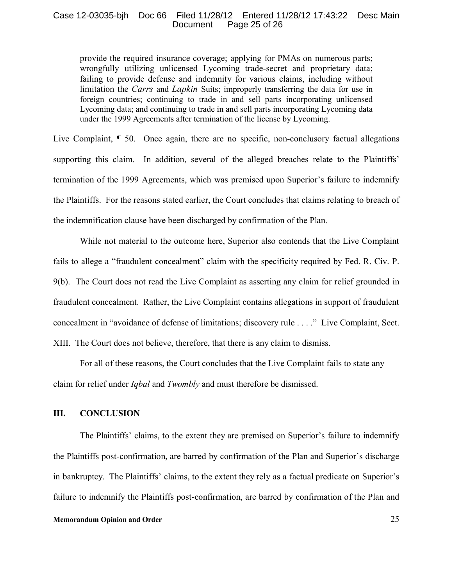## Case 12-03035-bjh Doc 66 Filed 11/28/12 Entered 11/28/12 17:43:22 Desc Main Page 25 of 26

provide the required insurance coverage; applying for PMAs on numerous parts; wrongfully utilizing unlicensed Lycoming trade-secret and proprietary data; failing to provide defense and indemnity for various claims, including without limitation the *Carrs* and *Lapkin* Suits; improperly transferring the data for use in foreign countries; continuing to trade in and sell parts incorporating unlicensed Lycoming data; and continuing to trade in and sell parts incorporating Lycoming data under the 1999 Agreements after termination of the license by Lycoming.

Live Complaint, ¶ 50. Once again, there are no specific, non-conclusory factual allegations supporting this claim. In addition, several of the alleged breaches relate to the Plaintiffs' termination of the 1999 Agreements, which was premised upon Superior's failure to indemnify the Plaintiffs. For the reasons stated earlier, the Court concludes that claims relating to breach of the indemnification clause have been discharged by confirmation of the Plan.

While not material to the outcome here, Superior also contends that the Live Complaint fails to allege a "fraudulent concealment" claim with the specificity required by Fed. R. Civ. P. 9(b). The Court does not read the Live Complaint as asserting any claim for relief grounded in fraudulent concealment. Rather, the Live Complaint contains allegations in support of fraudulent concealment in "avoidance of defense of limitations; discovery rule . . . ." Live Complaint, Sect. XIII. The Court does not believe, therefore, that there is any claim to dismiss.

For all of these reasons, the Court concludes that the Live Complaint fails to state any claim for relief under *Iqbal* and *Twombly* and must therefore be dismissed.

## **III. CONCLUSION**

The Plaintiffs' claims, to the extent they are premised on Superior's failure to indemnify the Plaintiffs post-confirmation, are barred by confirmation of the Plan and Superior's discharge in bankruptcy. The Plaintiffs' claims, to the extent they rely as a factual predicate on Superior's failure to indemnify the Plaintiffs post-confirmation, are barred by confirmation of the Plan and